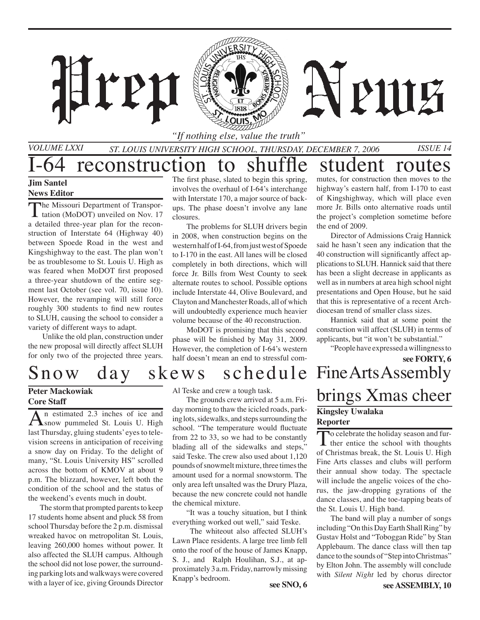*"If nothing else, value the truth"*

*St. Louis University High School, Thursday, December 7, 2006 Issue 14*

### I-64 reconstruction to shuffle student routes **Jim Santel**

ren

### **News Editor**

*Volume LXXI*

The Missouri Department of Transpor-**L** tation (MoDOT) unveiled on Nov. 17 a detailed three-year plan for the reconstruction of Interstate 64 (Highway 40) between Spoede Road in the west and Kingshighway to the east. The plan won't be as troublesome to St. Louis U. High as was feared when MoDOT first proposed a three-year shutdown of the entire segment last October (see vol. 70, issue 10). However, the revamping will still force roughly 300 students to find new routes to SLUH, causing the school to consider a variety of different ways to adapt.

Unlike the old plan, construction under the new proposal will directly affect SLUH for only two of the projected three years.

The first phase, slated to begin this spring, involves the overhaul of I-64's interchange with Interstate 170, a major source of backups. The phase doesn't involve any lane closures.

The problems for SLUH drivers begin in 2008, when construction begins on the western half of I-64, from just west of Spoede to I-170 in the east. All lanes will be closed completely in both directions, which will force Jr. Bills from West County to seek alternate routes to school. Possible options include Interstate 44, Olive Boulevard, and Clayton and Manchester Roads, all of which will undoubtedly experience much heavier volume because of the 40 reconstruction.

MoDOT is promising that this second phase will be finished by May 31, 2009. However, the completion of I-64's western half doesn't mean an end to stressful commutes, for construction then moves to the highway's eastern half, from I-170 to east of Kingshighway, which will place even more Jr. Bills onto alternative roads until the project's completion sometime before the end of 2009.

PHIE

Director of Admissions Craig Hannick said he hasn't seen any indication that the 40 construction will significantly affect applications to SLUH. Hannick said that there has been a slight decrease in applicants as well as in numbers at area high school night presentations and Open House, but he said that this is representative of a recent Archdiocesan trend of smaller class sizes.

Hannick said that at some point the construction will affect (SLUH) in terms of applicants, but "it won't be substantial."

"People have expressed a willingness to

**see FORTY, 6**

## Snow day skews schedule

#### **Peter Mackowiak Core Staff**

An estimated 2.3 inches of ice and<br>
Snow pummeled St. Louis U. High last Thursday, gluing students' eyes to television screens in anticipation of receiving a snow day on Friday. To the delight of many, "St. Louis University HS" scrolled across the bottom of KMOV at about 9 p.m. The blizzard, however, left both the condition of the school and the status of the weekend's events much in doubt.

 The storm that prompted parents to keep 17 students home absent and pluck 58 from school Thursday before the 2 p.m. dismissal wreaked havoc on metropolitan St. Louis, leaving 260,000 homes without power. It also affected the SLUH campus. Although the school did not lose power, the surrounding parking lots and walkways were covered with a layer of ice, giving Grounds Director

Al Teske and crew a tough task.

The grounds crew arrived at 5 a.m. Friday morning to thaw the icicled roads, parking lots, sidewalks, and steps surrounding the school. "The temperature would fluctuate from 22 to 33, so we had to be constantly blading all of the sidewalks and steps," said Teske. The crew also used about 1,120 pounds of snowmelt mixture, three times the amount used for a normal snowstorm. The only area left unsalted was the Drury Plaza, because the new concrete could not handle the chemical mixture.

"It was a touchy situation, but I think everything worked out well," said Teske.

 The whiteout also affected SLUH's Lawn Place residents. A large tree limb fell onto the roof of the house of James Knapp, S. J., and Ralph Houlihan, S.J., at approximately 3 a.m. Friday, narrowly missing Knapp's bedroom.<br>**see SNO, 6** 

### Fine Arts Assembly brings Xmas cheer **Kingsley Uwalaka Reporter**

To celebrate the holiday season and fur-<br>ther entice the school with thoughts of Christmas break, the St. Louis U. High Fine Arts classes and clubs will perform their annual show today. The spectacle will include the angelic voices of the chorus, the jaw-dropping gyrations of the dance classes, and the toe-tapping beats of the St. Louis U. High band.

The band will play a number of songs including "On this Day Earth Shall Ring" by Gustav Holst and "Toboggan Ride" by Stan Applebaum. The dance class will then tap dance to the sounds of "Step into Christmas" by Elton John. The assembly will conclude with *Silent Night* led by chorus director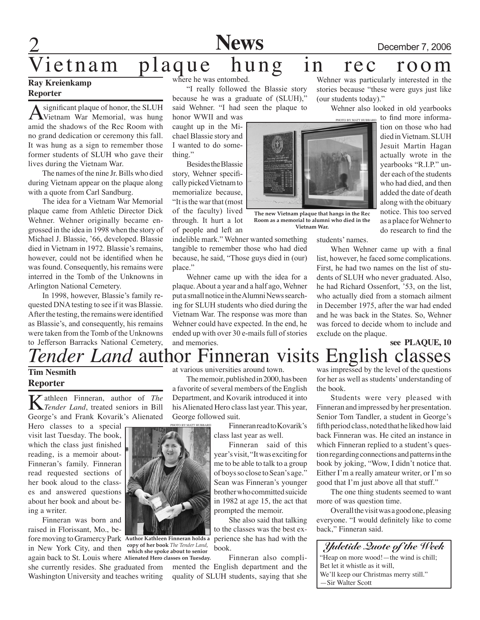**News** December 7, 2006

stories because "these were guys just like

 Wehner also looked in old yearbooks

### Vietnam plaque hung in rec room Wehner was particularly interested in the

#### **Ray Kreienkamp Reporter**

A significant plaque of honor, the SLUH<br>Vietnam War Memorial, was hung amid the shadows of the Rec Room with no grand dedication or ceremony this fall. It was hung as a sign to remember those former students of SLUH who gave their lives during the Vietnam War.

The names of the nine Jr. Bills who died during Vietnam appear on the plaque along with a quote from Carl Sandburg.

 The idea for a Vietnam War Memorial plaque came from Athletic Director Dick Wehner. Wehner originally became engrossed in the idea in 1998 when the story of Michael J. Blassie, '66, developed. Blassie died in Vietnam in 1972. Blassie's remains, however, could not be identified when he was found. Consequently, his remains were interred in the Tomb of the Unknowns in Arlington National Cemetery.

 In 1998, however, Blassie's family requested DNA testing to see if it was Blassie. After the testing, the remains were identified as Blassie's, and consequently, his remains were taken from the Tomb of the Unknowns to Jefferson Barracks National Cemetery, where he was entombed.

 "I really followed the Blassie story because he was a graduate of (SLUH)," said Wehner. "I had seen the plaque to

honor WWII and was caught up in the Michael Blassie story and I wanted to do something."

 BesidestheBlassie story, Wehner specificallypickedVietnamto memorialize because, "It isthe warthat(most of the faculty) lived through. It hurt a lot of people and left an

indelible mark." Wehner wanted something tangible to remember those who had died because, he said, "Those guys died in (our) place."

 Wehner came up with the idea for a plaque.About a year and a half ago, Wehner put a small notice in the Alumni News searching for SLUH students who died during the Vietnam War. The response was more than Wehner could have expected. In the end, he ended up with over 30 e-mails full of stories and memories.



**The new Vietnam plaque that hangs in the Rec Room as a memorial to alumni who died in the Vietnam War.**

tion on those who had diedinVietnam.SLUH Jesuit Martin Hagan actually wrote in the yearbooks "R.I.P." under each of the students who had died, and then added the date of death along with the obituary notice. This too served as a place forWehnerto do research to find the

to find more informa-

When Wehner came up with a final

exclude on the plaque.

(our students today)."

#### *Tender Land* author Finneran visits **see PLAQUE, 10**  English classes

#### **Tim Nesmith Reporter**

**K**athleen Finneran, author of *The Tender Land*, treated seniors in Bill George's and Frank Kovarik's Alienated

Hero classes to a special visit last Tuesday. The book, which the class just finished reading, is a memoir about-Finneran's family. Finneran read requested sections of her book aloud to the classes and answered questions about her book and about being a writer.

Finneran was born and raised in Florissant, Mo., before moving to Gramercy Park **Author Kathleen Finneran holds a**  in New York City, and then **copy of her book** *The Tender Land*,

again back to St. Louis where **Alienated Hero classes on Tuesday.** she currently resides. She graduated from Washington University and teaches writing



The memoir, published in 2000, has been a favorite of several members of the English Department, and Kovarik introduced it into his Alienated Hero class last year. This year, George followed suit.

Finneran read to Kovarik's class last year as well.

Finneran said of this year's visit, "It was exciting for me to be able to talk to a group of boys so close to Sean's age." Sean was Finneran's younger brother who committed suicide in 1982 at age 15, the act that prompted the memoir.

She also said that talking to the classes was the best experience she has had with the book.

Finneran also complimented the English department and the quality of SLUH students, saying that she was impressed by the level of the questions for her as well as students' understanding of the book.

list, however, he faced some complications. First, he had two names on the list of students of SLUH who never graduated. Also, he had Richard Ossenfort, '53, on the list, who actually died from a stomach ailment in December 1975, after the war had ended and he was back in the States. So, Wehner was forced to decide whom to include and

Students were very pleased with Finneran and impressed by her presentation. Senior Tom Tandler, a student in George's fifth period class, noted that he liked how laid back Finneran was. He cited an instance in which Finneran replied to a student's question regarding connections and patterns in the book by joking, "Wow, I didn't notice that. Either I'm a really amateur writer, or I'm so good that I'm just above all that stuff."

The one thing students seemed to want more of was question time.

Overall the visit was a good one, pleasing everyone. "I would definitely like to come back," Finneran said.





**which she spoke about to senior** 

### students' names.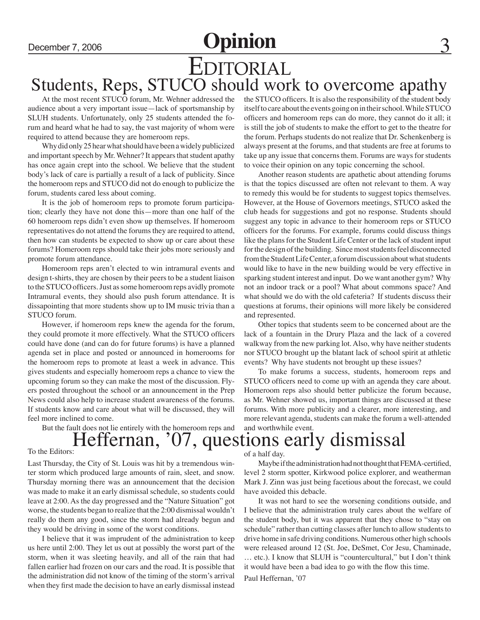## December 7, 2006 **Opinion** Editorial Students, Reps, STUCO should work to overcome apathy

At the most recent STUCO forum, Mr. Wehner addressed the audience about a very important issue—lack of sportsmanship by SLUH students. Unfortunately, only 25 students attended the forum and heard what he had to say, the vast majority of whom were required to attend because they are homeroom reps.

Why did only 25 hear what should have been a widely publicized and important speech by Mr. Wehner? It appears that student apathy has once again crept into the school. We believe that the student body's lack of care is partially a result of a lack of publicity. Since the homeroom reps and STUCO did not do enough to publicize the forum, students cared less about coming.

It is the job of homeroom reps to promote forum participation; clearly they have not done this—more than one half of the 60 homeroom reps didn't even show up themselves. If homeroom representatives do not attend the forums they are required to attend, then how can students be expected to show up or care about these forums? Homeroom reps should take their jobs more seriously and promote forum attendance.

Homeroom reps aren't elected to win intramural events and design t-shirts, they are chosen by their peers to be a student liaison to the STUCO officers. Just as some homeroom reps avidly promote Intramural events, they should also push forum attendance. It is dissapointing that more students show up to IM music trivia than a STUCO forum.

However, if homeroom reps knew the agenda for the forum, they could promote it more effectively. What the STUCO officers could have done (and can do for future forums) is have a planned agenda set in place and posted or announced in homerooms for the homeroom reps to promote at least a week in advance. This gives students and especially homeroom reps a chance to view the upcoming forum so they can make the most of the discussion. Flyers posted throughout the school or an announcement in the Prep News could also help to increase student awareness of the forums. If students know and care about what will be discussed, they will feel more inclined to come.

But the fault does not lie entirely with the homeroom reps and

the STUCO officers. It is also the responsibility of the student body itself to care about the events going on in their school. While STUCO officers and homeroom reps can do more, they cannot do it all; it is still the job of students to make the effort to get to the theatre for the forum. Perhaps students do not realize that Dr. Schenkenberg is always present at the forums, and that students are free at forums to take up any issue that concerns them. Forums are ways for students to voice their opinion on any topic concerning the school.

Another reason students are apathetic about attending forums is that the topics discussed are often not relevant to them. A way to remedy this would be for students to suggest topics themselves. However, at the House of Governors meetings, STUCO asked the club heads for suggestions and got no response. Students should suggest any topic in advance to their homeroom reps or STUCO officers for the forums. For example, forums could discuss things like the plans for the Student Life Center or the lack of student input for the design of the building. Since most students feel disconnected from the Student Life Center, a forum discussion about what students would like to have in the new building would be very effective in sparking student interest and input. Do we want another gym? Why not an indoor track or a pool? What about commons space? And what should we do with the old cafeteria? If students discuss their questions at forums, their opinions will more likely be considered and represented.

Other topics that students seem to be concerned about are the lack of a fountain in the Drury Plaza and the lack of a covered walkway from the new parking lot. Also, why have neither students nor STUCO brought up the blatant lack of school spirit at athletic events? Why have students not brought up these issues?

To make forums a success, students, homeroom reps and STUCO officers need to come up with an agenda they care about. Homeroom reps also should better publicize the forum because, as Mr. Wehner showed us, important things are discussed at these forums. With more publicity and a clearer, more interesting, and more relevant agenda, students can make the forum a well-attended and worthwhile event.

## To the Editors: Heffernan, '07, questions early dismissal

Last Thursday, the City of St. Louis was hit by a tremendous winter storm which produced large amounts of rain, sleet, and snow. Thursday morning there was an announcement that the decision was made to make it an early dismissal schedule, so students could leave at 2:00. As the day progressed and the "Nature Situation" got worse, the students began to realize that the 2:00 dismissal wouldn't really do them any good, since the storm had already begun and they would be driving in some of the worst conditions.

I believe that it was imprudent of the administration to keep us here until 2:00. They let us out at possibly the worst part of the storm, when it was sleeting heavily, and all of the rain that had fallen earlier had frozen on our cars and the road. It is possible that the administration did not know of the timing of the storm's arrival when they first made the decision to have an early dismissal instead of a half day.

Maybe if the administration had not thought that FEMA-certified, level 2 storm spotter, Kirkwood police explorer, and weatherman Mark J. Zinn was just being facetious about the forecast, we could have avoided this debacle.

It was not hard to see the worsening conditions outside, and I believe that the administration truly cares about the welfare of the student body, but it was apparent that they chose to "stay on schedule" rather than cutting classes after lunch to allow students to drive home in safe driving conditions. Numerous other high schools were released around 12 (St. Joe, DeSmet, Cor Jesu, Chaminade, … etc.). I know that SLUH is "countercultural," but I don't think it would have been a bad idea to go with the flow this time. Paul Heffernan, '07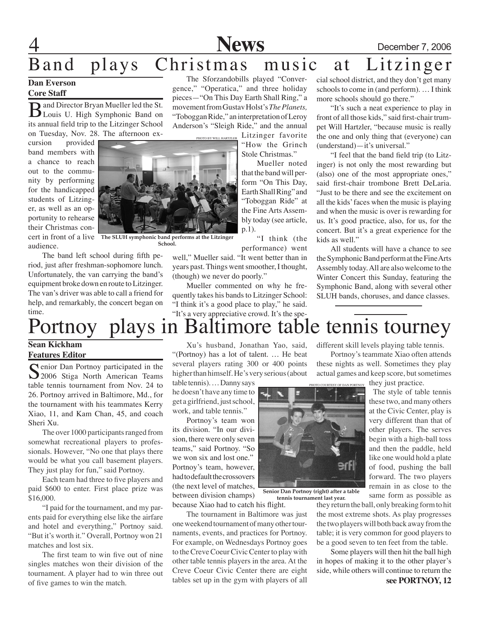**News** December 7, 2006

### Band plays Christmas music at Litzinger The Sforzandobills played "Conver-

#### **Dan Everson Core Staff**

Band Director Bryan Mueller led the St. its annual field trip to the Litzinger School on Tuesday, Nov. 28. The afternoon ex-

cursion provided band members with a chance to reach out to the community by performing for the handicapped students of Litzinger, as well as an opportunity to rehearse their Christmas concert in front of a live **The SLUH symphonic band performs at the Litzinger**  audience.

Anderson's "Sleigh Ride," and the annual PHOTO BY WILL HARTZLER

#### gence," "Operatica," and three holiday pieces—"On This Day Earth Shall Ring," a movement from Gustav Holst's *The Planets,*

"Toboggan Ride," an interpretation of Leroy Litzinger favorite "How the Grinch

Stole Christmas." Mueller noted

that the band will perform "On This Day, Earth Shall Ring" and "Toboggan Ride" at the Fine Arts Assembly today (see article, p.1).

"I think (the performance) went

well," Mueller said. "It went better than in years past. Things went smoother, I thought, (though) we never do poorly."

Mueller commented on why he frequently takes his bands to Litzinger School: "I think it's a good place to play," he said. cial school district, and they don't get many schools to come in (and perform). … I think more schools should go there."

"It's such a neat experience to play in front of all those kids," said first-chair trumpet Will Hartzler, "because music is really the one and only thing that (everyone) can (understand)—it's universal."

"I feel that the band field trip (to Litzinger) is not only the most rewarding but (also) one of the most appropriate ones," said first-chair trombone Brett DeLaria. "Just to be there and see the excitement on all the kids' faces when the music is playing and when the music is over is rewarding for us. It's good practice, also, for us, for the concert. But it's a great experience for the kids as well."

All students will have a chance to see the Symphonic Band perform at the Fine Arts Assembly today. All are also welcome to the Winter Concert this Sunday, featuring the Symphonic Band, along with several other SLUH bands, choruses, and dance classes.

### time. "It's a very appreciative crowd. It's the spe-<br> **1** Baltimore table Portnoy plays in Baltimore table tennis tourney

**Sean Kickham Features Editor**

Senior Dan Portnoy participated in the 2006 Stiga North American Teams table tennis tournament from Nov. 24 to 26. Portnoy arrived in Baltimore, Md., for the tournament with his teammates Kerry Xiao, 11, and Kam Chan, 45, and coach Sheri Xu.

The band left school during fifth period, just after freshman-sophomore lunch. Unfortunately, the van carrying the band's equipment broke down en route to Litzinger. The van's driver was able to call a friend for help, and remarkably, the concert began on

The over 1000 participants ranged from somewhat recreational players to professionals. However, "No one that plays there would be what you call basement players. They just play for fun," said Portnoy.

Each team had three to five players and paid \$600 to enter. First place prize was \$16,000.

"I paid for the tournament, and my parents paid for everything else like the airfare and hotel and everything," Portnoy said. "But it's worth it." Overall, Portnoy won 21 matches and lost six.

The first team to win five out of nine singles matches won their division of the tournament. A player had to win three out of five games to win the match.

Xu's husband, Jonathan Yao, said, "(Portnoy) has a lot of talent. … He beat several players rating 300 or 400 points higher than himself. He's very serious (about

table tennis). … Danny says he doesn't have any time to get a girlfriend, just school, work, and table tennis."

Portnoy's team won its division. "In our division, there were only seven teams," said Portnoy. "So we won six and lost one." Portnoy's team, however, had to default the crossovers (the next level of matches, between division champs) because Xiao had to catch his flight.

The tournament in Baltimore was just one weekend tournament of many other tournaments, events, and practices for Portnoy. For example, on Wednesdays Portnoy goes to the Creve Coeur Civic Center to play with other table tennis players in the area. At the Creve Coeur Civic Center there are eight tables set up in the gym with players of all

PHOTO COURTESY OF DAN P

**Senior Dan Portnoy (right) after a table tennis tournament last year.**

they return the ball, only breaking form to hit the most extreme shots. As play progresses the two players will both back away from the table; it is very common for good players to be a good seven to ten feet from the table.

Some players will then hit the ball high in hopes of making it to the other player's side, while others will continue to return the **see PORTNOY, 12**



**School.**

different skill levels playing table tennis.

Portnoy's teammate Xiao often attends these nights as well. Sometimes they play actual games and keep score, but sometimes

they just practice. The style of table tennis

these two, and many others at the Civic Center, play is very different than that of other players. The serves begin with a high-ball toss and then the paddle, held like one would hold a plate of food, pushing the ball forward. The two players remain in as close to the same form as possible as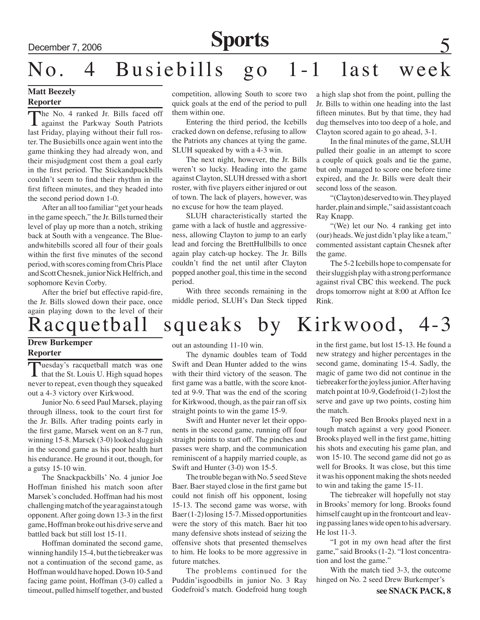## December 7, 2006 **Sports**

# No. 4 Busiebills go 1-1 last week

### **Matt Beezely**

#### **Reporter**

The No. 4 ranked Jr. Bills faced off against the Parkway South Patriots last Friday, playing without their full roster. The Busiebills once again went into the game thinking they had already won, and their misjudgment cost them a goal early in the first period. The Stickandpuckbills couldn't seem to find their rhythm in the first fifteen minutes, and they headed into the second period down 1-0.

After an all too familiar "get your heads in the game speech," the Jr. Bills turned their level of play up more than a notch, striking back at South with a vengeance. The Blueandwhitebills scored all four of their goals within the first five minutes of the second period, with scores coming from Chris Place and Scott Chesnek, junior Nick Helfrich, and sophomore Kevin Corby.

After the brief but effective rapid-fire, the Jr. Bills slowed down their pace, once again playing down to the level of their

competition, allowing South to score two quick goals at the end of the period to pull them within one.

Entering the third period, the Icebills cracked down on defense, refusing to allow the Patriots any chances at tying the game. SLUH squeaked by with a 4-3 win.

The next night, however, the Jr. Bills weren't so lucky. Heading into the game against Clayton, SLUH dressed with a short roster, with five players either injured or out of town. The lack of players, however, was no excuse for how the team played.

SLUH characteristically started the game with a lack of hustle and aggressiveness, allowing Clayton to jump to an early lead and forcing the BrettHullbills to once again play catch-up hockey. The Jr. Bills couldn't find the net until after Clayton popped another goal, this time in the second period.

With three seconds remaining in the middle period, SLUH's Dan Steck tipped a high slap shot from the point, pulling the Jr. Bills to within one heading into the last fifteen minutes. But by that time, they had dug themselves into too deep of a hole, and Clayton scored again to go ahead, 3-1.

In the final minutes of the game, SLUH pulled their goalie in an attempt to score a couple of quick goals and tie the game, but only managed to score one before time expired, and the Jr. Bills were dealt their second loss of the season.

"(Clayton) deserved to win. They played harder, plain and simple," said assistant coach Ray Knapp.

"(We) let our No. 4 ranking get into (our) heads. We just didn't play like a team," commented assistant captain Chesnek after the game.

The 5-2 Icebills hope to compensate for their sluggish play with a strong performance against rival CBC this weekend. The puck drops tomorrow night at 8:00 at Affton Ice Rink.

## Racquetball squeaks by Kirkwood, 4-3

#### **Drew Burkemper Reporter**

Tuesday's racquetball match was one<br>that the St. Louis U. High squad hopes never to repeat, even though they squeaked out a 4-3 victory over Kirkwood.

Junior No. 6 seed Paul Marsek, playing through illness, took to the court first for the Jr. Bills. After trading points early in the first game, Marsek went on an 8-7 run, winning 15-8. Marsek (3-0) looked sluggish in the second game as his poor health hurt his endurance. He ground it out, though, for a gutsy 15-10 win.

The Snackpackbills' No. 4 junior Joe Hoffman finished his match soon after Marsek's concluded. Hoffman had his most challenging match of the year against a tough opponent. After going down 13-3 in the first game, Hoffman broke out his drive serve and battled back but still lost 15-11.

Hoffman dominated the second game, winning handily 15-4, but the tiebreaker was not a continuation of the second game, as Hoffman would have hoped. Down 10-5 and facing game point, Hoffman (3-0) called a timeout, pulled himself together, and busted out an astounding 11-10 win.

The dynamic doubles team of Todd Swift and Dean Hunter added to the wins with their third victory of the season. The first game was a battle, with the score knotted at 9-9. That was the end of the scoring for Kirkwood, though, as the pair ran off six straight points to win the game 15-9.

Swift and Hunter never let their opponents in the second game, running off four straight points to start off. The pinches and passes were sharp, and the communication reminiscent of a happily married couple, as Swift and Hunter (3-0) won 15-5.

The trouble began with No. 5 seed Steve Baer. Baer stayed close in the first game but could not finish off his opponent, losing 15-13. The second game was worse, with Baer (1-2) losing 15-7. Missed opportunities were the story of this match. Baer hit too many defensive shots instead of seizing the offensive shots that presented themselves to him. He looks to be more aggressive in future matches.

The problems continued for the Puddin'isgoodbills in junior No. 3 Ray Godefroid's match. Godefroid hung tough

in the first game, but lost 15-13. He found a new strategy and higher percentages in the second game, dominating 15-4. Sadly, the magic of game two did not continue in the tiebreaker for the joyless junior. After having match point at 10-9, Godefroid (1-2) lost the serve and gave up two points, costing him the match.

Top seed Ben Brooks played next in a tough match against a very good Pioneer. Brooks played well in the first game, hitting his shots and executing his game plan, and won 15-10. The second game did not go as well for Brooks. It was close, but this time it was his opponent making the shots needed to win and taking the game 15-11.

The tiebreaker will hopefully not stay in Brooks' memory for long. Brooks found himself caught up in the frontcourt and leaving passing lanes wide open to his adversary. He lost 11-3.

"I got in my own head after the first game," said Brooks (1-2). "I lost concentration and lost the game."

With the match tied 3-3, the outcome hinged on No. 2 seed Drew Burkemper's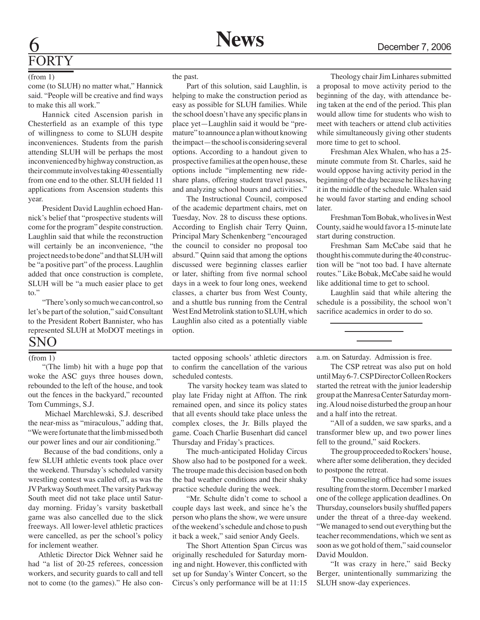# **FORTY**

#### (from 1)

come (to SLUH) no matter what," Hannick said. "People will be creative and find ways to make this all work."

Hannick cited Ascension parish in Chesterfield as an example of this type of willingness to come to SLUH despite inconveniences. Students from the parish attending SLUH will be perhaps the most inconvenienced by highway construction, as their commute involves taking 40 essentially from one end to the other. SLUH fielded 11 applications from Ascension students this year.

President David Laughlin echoed Hannick's belief that "prospective students will come for the program" despite construction. Laughlin said that while the reconstruction will certainly be an inconvenience, "the project needs to be done" and that SLUH will be "a positive part" of the process. Laughlin added that once construction is complete, SLUH will be "a much easier place to get to."

"There's only so much we can control, so let's be part of the solution," said Consultant to the President Robert Bannister, who has represented SLUH at MoDOT meetings in

### SNO

#### (from 1)

"(The limb) hit with a huge pop that woke the ASC guys three houses down, rebounded to the left of the house, and took out the fences in the backyard," recounted Tom Cummings, S.J.

 Michael Marchlewski, S.J. described the near-miss as "miraculous," adding that, "We were fortunate that the limb missed both our power lines and our air conditioning."

 Because of the bad conditions, only a few SLUH athletic events took place over the weekend. Thursday's scheduled varsity wrestling contest was called off, as was the JV Parkway South meet. The varsity Parkway South meet did not take place until Saturday morning. Friday's varsity basketball game was also cancelled due to the slick freeways. All lower-level athletic practices were cancelled, as per the school's policy for inclement weather.

 Athletic Director Dick Wehner said he had "a list of 20-25 referees, concession workers, and security guards to call and tell not to come (to the games)." He also conthe past.

Part of this solution, said Laughlin, is helping to make the construction period as easy as possible for SLUH families. While the school doesn't have any specific plans in place yet—Laughlin said it would be "premature" to announce a plan without knowing the impact—the school is considering several options. According to a handout given to prospective families at the open house, these options include "implementing new rideshare plans, offering student travel passes, and analyzing school hours and activities."

The Instructional Council, composed of the academic department chairs, met on Tuesday, Nov. 28 to discuss these options. According to English chair Terry Quinn, Principal Mary Schenkenberg "encouraged the council to consider no proposal too absurd." Quinn said that among the options discussed were beginning classes earlier or later, shifting from five normal school days in a week to four long ones, weekend classes, a charter bus from West County, and a shuttle bus running from the Central West End Metrolink station to SLUH, which Laughlin also cited as a potentially viable option.

tacted opposing schools' athletic directors to confirm the cancellation of the various scheduled contests.

 The varsity hockey team was slated to play late Friday night at Affton. The rink remained open, and since its policy states that all events should take place unless the complex closes, the Jr. Bills played the game. Coach Charlie Busenhart did cancel Thursday and Friday's practices.

The much-anticipated Holiday Circus Show also had to be postponed for a week. The troupe made this decision based on both the bad weather conditions and their shaky practice schedule during the week.

"Mr. Schulte didn't come to school a couple days last week, and since he's the person who plans the show, we were unsure of the weekend's schedule and chose to push it back a week," said senior Andy Geels.

The Short Attention Span Circus was originally rescheduled for Saturday morning and night. However, this conflicted with set up for Sunday's Winter Concert, so the Circus's only performance will be at 11:15

Theology chair Jim Linhares submitted a proposal to move activity period to the beginning of the day, with attendance being taken at the end of the period. This plan would allow time for students who wish to meet with teachers or attend club activities while simultaneously giving other students more time to get to school.

Freshman Alex Whalen, who has a 25 minute commute from St. Charles, said he would oppose having activity period in the beginning of the day because he likes having it in the middle of the schedule. Whalen said he would favor starting and ending school later.

Freshman Tom Bobak, who lives in West County, said he would favor a 15-minute late start during construction.

Freshman Sam McCabe said that he thought his commute during the 40 construction will be "not too bad. I have alternate routes." Like Bobak, McCabe said he would like additional time to get to school.

Laughlin said that while altering the schedule is a possibility, the school won't sacrifice academics in order to do so.

a.m. on Saturday. Admission is free.

The CSP retreat was also put on hold until May 6-7. CSP Director Colleen Rockers started the retreat with the junior leadership group at the Manresa Center Saturday morning. A loud noise disturbed the group an hour and a half into the retreat.

"All of a sudden, we saw sparks, and a transformer blew up, and two power lines fell to the ground," said Rockers.

The group proceeded to Rockers' house, where after some deliberation, they decided to postpone the retreat.

 The counseling office had some issues resulting from the storm. December 1 marked one of the college application deadlines. On Thursday, counselors busily shuffled papers under the threat of a three-day weekend. "We managed to send out everything but the teacher recommendations, which we sent as soon as we got hold of them," said counselor David Mouldon.

"It was crazy in here," said Becky Berger, unintentionally summarizing the SLUH snow-day experiences.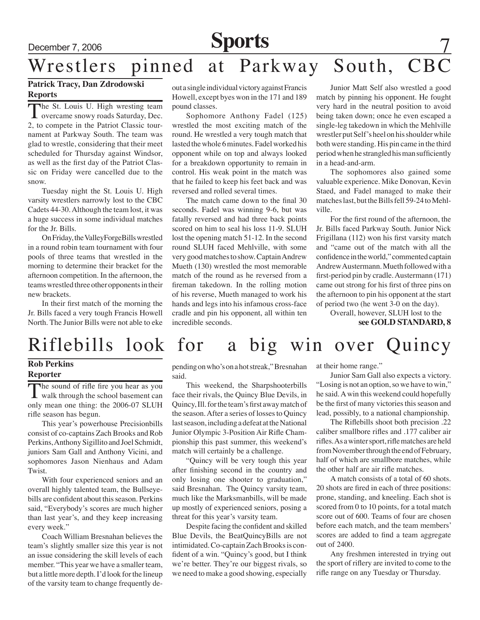## December 7, 2006 **Sports**

## Wrestlers pinned at Parkway South, CBC

### **Patrick Tracy, Dan Zdrodowski Reports**

The St. Louis U. High wresting team **L** overcame snowy roads Saturday, Dec. 2, to compete in the Patriot Classic tournament at Parkway South. The team was glad to wrestle, considering that their meet scheduled for Thursday against Windsor, as well as the first day of the Patriot Classic on Friday were cancelled due to the snow.

Tuesday night the St. Louis U. High varsity wrestlers narrowly lost to the CBC Cadets 44-30. Although the team lost, it was a huge success in some individual matches for the Jr. Bills.

On Friday, the ValleyForgeBills wrestled in a round robin team tournament with four pools of three teams that wrestled in the morning to determine their bracket for the afternoon competition. In the afternoon, the teams wrestled three other opponents in their new brackets.

In their first match of the morning the Jr. Bills faced a very tough Francis Howell North. The Junior Bills were not able to eke out a single individual victory against Francis Howell, except byes won in the 171 and 189 pound classes.

Sophomore Anthony Fadel (125) wrestled the most exciting match of the round. He wrestled a very tough match that lasted the whole 6 minutes. Fadel worked his opponent while on top and always looked for a breakdown opportunity to remain in control. His weak point in the match was that he failed to keep his feet back and was reversed and rolled several times.

The match came down to the final 30 seconds. Fadel was winning 9-6, but was fatally reversed and had three back points scored on him to seal his loss 11-9. SLUH lost the opening match 51-12. In the second round SLUH faced Mehlville, with some very good matches to show. Captain Andrew Mueth (130) wrestled the most memorable match of the round as he reversed from a fireman takedown. In the rolling motion of his reverse, Mueth managed to work his hands and legs into his infamous cross-face cradle and pin his opponent, all within ten incredible seconds.

Junior Matt Self also wrestled a good match by pinning his opponent. He fought very hard in the neutral position to avoid being taken down; once he even escaped a single-leg takedown in which the Mehlville wrestler put Self's heel on his shoulder while both were standing. His pin came in the third period when he strangled his man sufficiently in a head-and-arm.

The sophomores also gained some valuable experience. Mike Donovan, Kevin Staed, and Fadel managed to make their matches last, but the Bills fell 59-24 to Mehlville.

For the first round of the afternoon, the Jr. Bills faced Parkway South. Junior Nick Frigillana (112) won his first varsity match and "came out of the match with all the confidence in the world," commented captain Andrew Austermann. Mueth followed with a first-period pin by cradle. Austermann (171) came out strong for his first of three pins on the afternoon to pin his opponent at the start of period two (he went 3-0 on the day).

> Overall, however, SLUH lost to the **see GOLD STANDARD, 8**

## Riflebills look for a big win over Quincy

#### **Rob Perkins Reporter**

The sound of rifle fire you hear as you<br>walk through the school basement can only mean one thing: the 2006-07 SLUH rifle season has begun.

This year's powerhouse Precisionbills consist of co-captains Zach Brooks and Rob Perkins, Anthony Sigillito and Joel Schmidt, juniors Sam Gall and Anthony Vicini, and sophomores Jason Nienhaus and Adam Twist.

With four experienced seniors and an overall highly talented team, the Bullseyebills are confident about this season. Perkins said, "Everybody's scores are much higher than last year's, and they keep increasing every week."

Coach William Bresnahan believes the team's slightly smaller size this year is not an issue considering the skill levels of each member. "This year we have a smaller team, but a little more depth. I'd look for the lineup of the varsity team to change frequently depending on who's on a hot streak," Bresnahan said.

This weekend, the Sharpshooterbills face their rivals, the Quincy Blue Devils, in Quincy, Ill. for the team's first away match of the season. After a series of losses to Quincy last season, including a defeat at the National Junior Olympic 3-Position Air Rifle Championship this past summer, this weekend's match will certainly be a challenge.

"Quincy will be very tough this year after finishing second in the country and only losing one shooter to graduation," said Bresnahan. The Quincy varsity team, much like the Marksmanbills, will be made up mostly of experienced seniors, posing a threat for this year's varsity team.

Despite facing the confident and skilled Blue Devils, the BeatQuincyBills are not intimidated. Co-captain Zach Brooks is confident of a win. "Quincy's good, but I think we're better. They're our biggest rivals, so we need to make a good showing, especially

at their home range."

Junior Sam Gall also expects a victory. "Losing is not an option, so we have to win," he said. A win this weekend could hopefully be the first of many victories this season and lead, possibly, to a national championship.

The Riflebills shoot both precision .22 caliber smallbore rifles and .177 caliber air rifles. As a winter sport, rifle matches are held from November through the end of February, half of which are smallbore matches, while the other half are air rifle matches.

A match consists of a total of 60 shots. 20 shots are fired in each of three positions: prone, standing, and kneeling. Each shot is scored from 0 to 10 points, for a total match score out of 600. Teams of four are chosen before each match, and the team members' scores are added to find a team aggregate out of 2400.

Any freshmen interested in trying out the sport of riflery are invited to come to the rifle range on any Tuesday or Thursday.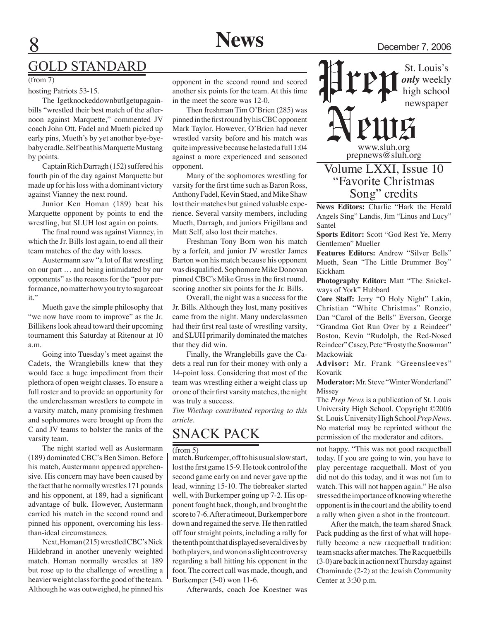## GOLD STANDARD

hosting Patriots 53-15.

The IgetknockeddownbutIgetupagainbills "wrestled their best match of the afternoon against Marquette," commented JV coach John Ott. Fadel and Mueth picked up early pins, Mueth's by yet another bye-byebaby cradle. Self beat his Marquette Mustang by points.

Captain Rich Darragh (152) suffered his fourth pin of the day against Marquette but made up for his loss with a dominant victory against Vianney the next round.

Junior Ken Homan (189) beat his Marquette opponent by points to end the wrestling, but SLUH lost again on points.

The final round was against Vianney, in which the Jr. Bills lost again, to end all their team matches of the day with losses.

Austermann saw "a lot of flat wrestling on our part … and being intimidated by our opponents" as the reasons for the "poor performance, no matter how you try to sugarcoat it."

Mueth gave the simple philosophy that "we now have room to improve" as the Jr. Billikens look ahead toward their upcoming tournament this Saturday at Ritenour at 10 a.m.

Going into Tuesday's meet against the Cadets, the Wranglebills knew that they would face a huge impediment from their plethora of open weight classes. To ensure a full roster and to provide an opportunity for the underclassman wrestlers to compete in a varsity match, many promising freshmen and sophomores were brought up from the C and JV teams to bolster the ranks of the varsity team.

The night started well as Austermann (189) dominated CBC's Ben Simon. Before his match, Austermann appeared apprehensive. His concern may have been caused by the fact that he normally wrestles 171 pounds and his opponent, at 189, had a significant advantage of bulk. However, Austermann carried his match in the second round and pinned his opponent, overcoming his lessthan-ideal circumstances.

Next, Homan (215) wrestled CBC's Nick Hildebrand in another unevenly weighted match. Homan normally wrestles at 189 but rose up to the challenge of wrestling a heavier weight class for the good of the team. Although he was outweighed, he pinned his

opponent in the second round and scored another six points for the team. At this time in the meet the score was 12-0.

Then freshman Tim O'Brien (285) was pinned in the first round by his CBC opponent Mark Taylor. However, O'Brien had never wrestled varsity before and his match was quite impressive because he lasted a full 1:04 against a more experienced and seasoned opponent.

Many of the sophomores wrestling for varsity for the first time such as Baron Ross, Anthony Fadel, Kevin Staed, and Mike Shaw lost their matches but gained valuable experience. Several varsity members, including Mueth, Darragh, and juniors Frigillana and Matt Self, also lost their matches.

Freshman Tony Born won his match by a forfeit, and junior JV wrestler James Barton won his match because his opponent was disqualified. Sophomore Mike Donovan pinned CBC's Mike Gross in the first round, scoring another six points for the Jr. Bills.

Overall, the night was a success for the Jr. Bills. Although they lost, many positives came from the night. Many underclassmen had their first real taste of wrestling varsity, and SLUH primarily dominated the matches that they did win.

Finally, the Wranglebills gave the Cadets a real run for their money with only a 14-point loss. Considering that most of the team was wrestling either a weight class up or one of their first varsity matches, the night was truly a success.

*Tim Wiethop contributed reporting to this article.*

## Snack Pack

#### (from 5)

match. Burkemper, off to his usual slow start, lost the first game 15-9. He took control of the second game early on and never gave up the lead, winning 15-10. The tiebreaker started well, with Burkemper going up 7-2. His opponent fought back, though, and brought the score to 7-6. After a timeout, Burkemper bore down and regained the serve. He then rattled off four straight points, including a rally for the tenth point that displayed several dives by both players, and won on a slight controversy regarding a ball hitting his opponent in the foot. The correct call was made, though, and Burkemper (3-0) won 11-6.

Afterwards, coach Joe Koestner was

St. Louis's *only* weekly high school newspaper

www.sluh.org prepnews@sluh.org

### Volume LXXI, Issue 10 "Favorite Christmas Song" credits

**News Editors:** Charlie "Hark the Herald Angels Sing" Landis, Jim "Linus and Lucy" Santel

**Sports Editor:** Scott "God Rest Ye, Merry Gentlemen" Mueller

**Features Editors:** Andrew "Silver Bells" Mueth, Sean "The Little Drummer Boy" Kickham

**Photography Editor:** Matt "The Snickelways of York" Hubbard

**Core Staff:** Jerry "O Holy Night" Lakin, Christian "White Christmas" Ronzio, Dan "Carol of the Bells" Everson, George "Grandma Got Run Over by a Reindeer" Boston, Kevin "Rudolph, the Red-Nosed Reindeer" Casey, Pete "Frosty the Snowman" Mackowiak

**Advisor:** Mr. Frank "Greensleeves" Kovarik

**Moderator:** Mr. Steve "Winter Wonderland" **Missey** 

The *Prep News* is a publication of St. Louis University High School. Copyright ©2006 St. Louis University High School *Prep News.*  No material may be reprinted without the permission of the moderator and editors.

not happy. "This was not good racquetball today. If you are going to win, you have to play percentage racquetball. Most of you did not do this today, and it was not fun to watch. This will not happen again." He also stressed the importance of knowing where the opponent is in the court and the ability to end a rally when given a shot in the frontcourt.

After the match, the team shared Snack Pack pudding as the first of what will hopefully become a new racquetball tradition: team snacks after matches. The Racquetbills (3-0) are back in action next Thursday against Chaminade (2-2) at the Jewish Community Center at 3:30 p.m.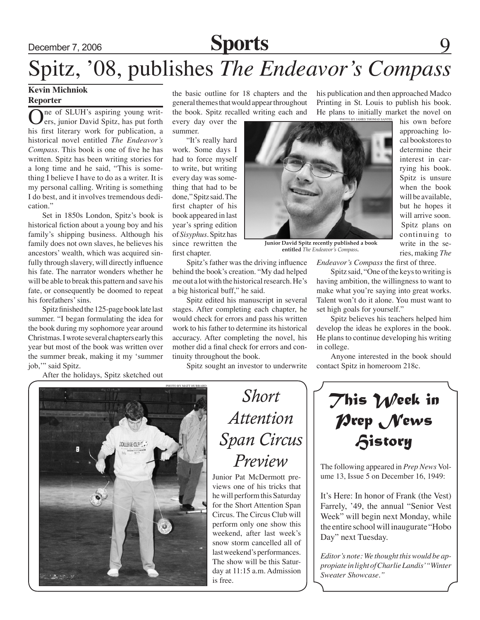## December 7, 2006 **Sports**

# Spitz, '08, publishes *The Endeavor's Compass*

#### **Kevin Michniok Reporter**

ne of SLUH's aspiring young writers, junior David Spitz, has put forth his first literary work for publication, a historical novel entitled *The Endeavor's Compass*. This book is one of five he has written. Spitz has been writing stories for a long time and he said, "This is something I believe I have to do as a writer. It is my personal calling. Writing is something I do best, and it involves tremendous dedication"

Set in 1850s London, Spitz's book is historical fiction about a young boy and his family's shipping business. Although his family does not own slaves, he believes his ancestors' wealth, which was acquired sinfully through slavery, will directly influence his fate. The narrator wonders whether he will be able to break this pattern and save his fate, or consequently be doomed to repeat his forefathers' sins.

Spitz finished the 125-page book late last summer. "I began formulating the idea for the book during my sophomore year around Christmas. I wrote several chapters early this year but most of the book was written over the summer break, making it my 'summer job,'" said Spitz.

After the holidays, Spitz sketched out

the basic outline for 18 chapters and the general themes that would appear throughout the book. Spitz recalled writing each and

every day over the summer.

"It's really hard work. Some days I had to force myself to write, but writing every day was something that had to be done," Spitz said. The first chapter of his book appeared in last year's spring edition of *Sisyphus*. Spitz has since rewritten the first chapter.

Spitz's father was the driving influence behind the book's creation. "My dad helped me out a lot with the historical research. He's a big historical buff," he said.

Spitz edited his manuscript in several stages. After completing each chapter, he would check for errors and pass his written work to his father to determine its historical accuracy. After completing the novel, his mother did a final check for errors and continuity throughout the book.

Spitz sought an investor to underwrite

his publication and then approached Madco Printing in St. Louis to publish his book. He plans to initially market the novel on

PHOTO BY JAMES THOMAS SA



 **Junior David Spitz recently published a book entitled** *The Endeavor's Compass***.** 

*Endeavor's Compass* the first of three.

Spitz said, "One of the keys to writing is having ambition, the willingness to want to make what you're saying into great works. Talent won't do it alone. You must want to set high goals for yourself."

Spitz believes his teachers helped him develop the ideas he explores in the book. He plans to continue developing his writing in college.

Anyone interested in the book should contact Spitz in homeroom 218c.



*Short Attention Span Circus Preview*

Junior Pat McDermott previews one of his tricks that he will perform this Saturday for the Short Attention Span Circus. The Circus Club will perform only one show this weekend, after last week's snow storm cancelled all of last weekend's performances. The show will be this Saturday at 11:15 a.m. Admission is free.

*This Week in Prep News History*

The following appeared in *Prep News* Volume 13, Issue 5 on December 16, 1949:

It's Here: In honor of Frank (the Vest) Farrely, '49, the annual "Senior Vest Week" will begin next Monday, while the entire school will inaugurate "Hobo Day" next Tuesday.

*Editor's note: We thought this would be appropiate in light of Charlie Landis' "Winter Sweater Showcase."*

cal bookstores to determine their interest in carrying his book. Spitz is unsure when the book will be available, but he hopes it will arrive soon. Spitz plans on continuing to write in the series, making *The* 

his own before approaching lo-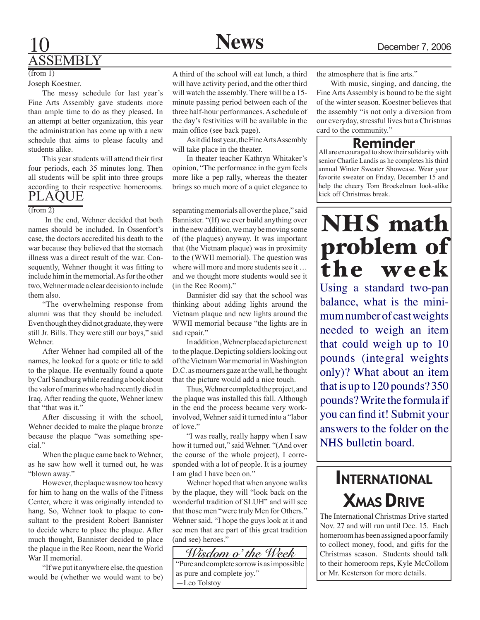## 10 **News** December 7, 2006 ASSEMBLY

### $(\overline{from 1})$

Joseph Koestner.

The messy schedule for last year's Fine Arts Assembly gave students more than ample time to do as they pleased. In an attempt at better organization, this year the administration has come up with a new schedule that aims to please faculty and students alike.

This year students will attend their first four periods, each 35 minutes long. Then all students will be split into three groups according to their respective homerooms. PLAQUE

#### (from 2)

 In the end, Wehner decided that both names should be included. In Ossenfort's case, the doctors accredited his death to the war because they believed that the stomach illness was a direct result of the war. Consequently, Wehner thought it was fitting to include him in the memorial. As for the other two. Wehner made a clear decision to include them also.

 "The overwhelming response from alumni was that they should be included. Even though they did not graduate, they were still Jr. Bills. They were still our boys," said Wehner.

 After Wehner had compiled all of the names, he looked for a quote or title to add to the plaque. He eventually found a quote byCarlSandburgwhile readingabookabout the valor of marines who had recently died in Iraq. After reading the quote, Wehner knew that "that was it."

 After discussing it with the school, Wehner decided to make the plaque bronze because the plaque "was something special"

 When the plaque came back to Wehner, as he saw how well it turned out, he was "blown away."

However, the plaque was now too heavy for him to hang on the walls of the Fitness Center, where it was originally intended to hang. So, Wehner took to plaque to consultant to the president Robert Bannister to decide where to place the plaque. After much thought, Bannister decided to place the plaque in the Rec Room, near the World War II memorial.

 "Ifwe put it anywhere else, the question would be (whether we would want to be)

A third of the school will eat lunch, a third will have activity period, and the other third will watch the assembly. There will be a 15 minute passing period between each of the three half-hour performances. A schedule of the day's festivities will be available in the main office (see back page).

As it did last year, the Fine Arts Assembly will take place in the theater.

In theater teacher Kathryn Whitaker's opinion, "The performance in the gym feels more like a pep rally, whereas the theater brings so much more of a quiet elegance to

separating memorials all over the place," said Bannister. "(If) we ever build anything over in the new addition, we may be moving some of (the plaques) anyway. It was important that (the Vietnam plaque) was in proximity to the (WWII memorial). The question was where will more and more students see it ... and we thought more students would see it (in the Rec Room)."

 Bannister did say that the school was thinking about adding lights around the Vietnam plaque and new lights around the WWII memorial because "the lights are in sad repair."

 Inaddition,Wehnerplacedapicturenext to the plaque. Depicting soldiers looking out of the Vietnam War memorial in Washington D.C. as mourners gaze at the wall, he thought that the picture would add a nice touch.

Thus, Wehner completed the project, and the plaque was installed this fall. Although in the end the process became very workinvolved, Wehner said it turned into a "labor of love."

 "I was really, really happy when I saw how it turned out," said Wehner. "(And over the course of the whole project), I corresponded with a lot of people. It is a journey I am glad I have been on."

 Wehner hoped that when anyone walks by the plaque, they will "look back on the wonderful tradition of SLUH" and will see that those men "were truly Men for Others." Wehner said, "I hope the guys look at it and see men that are part of this great tradition (and see) heroes."



the atmosphere that is fine arts."

With music, singing, and dancing, the Fine Arts Assembly is bound to be the sight of the winter season. Koestner believes that the assembly "is not only a diversion from our everyday, stressful lives but a Christmas card to the community."

### Reminder

All are encouraged to show their solidarity with senior Charlie Landis as he completes his third annual Winter Sweater Showcase. Wear your favorite sweater on Friday, December 15 and help the cheery Tom Broekelman look-alike kick off Christmas break.

## NHS math problem of the week

Using a standard two-pan balance, what is the minimum number of cast weights needed to weigh an item that could weigh up to 10 pounds (integral weights only)? What about an item that is up to 120 pounds? 350 pounds? Write the formula if you can find it! Submit your answers to the folder on the NHS bulletin board.

## **INTERNATIONAL** Xmas Drive

The International Christmas Drive started Nov. 27 and will run until Dec. 15. Each homeroom has been assigned a poor family to collect money, food, and gifts for the Christmas season. Students should talk to their homeroom reps, Kyle McCollom or Mr. Kesterson for more details.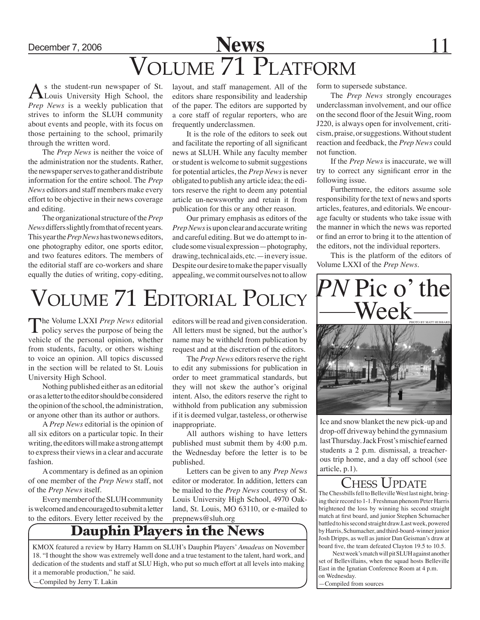## December 7, 2006 **News** 11 Volume 71 Platform

s the student-run newspaper of St. Louis University High School, the *Prep News* is a weekly publication that strives to inform the SLUH community about events and people, with its focus on those pertaining to the school, primarily through the written word.

The *Prep News* is neither the voice of the administration nor the students. Rather, the newspaper serves to gather and distribute information for the entire school. The *Prep News* editors and staff members make every effort to be objective in their news coverage and editing.

The organizational structure of the *Prep News* differs slightly from that of recent years. This year the *Prep News* has two news editors, one photography editor, one sports editor, and two features editors. The members of the editorial staff are co-workers and share equally the duties of writing, copy-editing,

layout, and staff management. All of the editors share responsibility and leadership of the paper. The editors are supported by a core staff of regular reporters, who are frequently underclassmen.

It is the role of the editors to seek out and facilitate the reporting of all significant news at SLUH. While any faculty member or student is welcome to submit suggestions for potential articles, the *Prep News* is never obligated to publish any article idea; the editors reserve the right to deem any potential article un-newsworthy and retain it from publication for this or any other reason.

Our primary emphasis as editors of the *Prep News* is upon clear and accurate writing and careful editing. But we do attempt to include some visual expression—photography, drawing, technical aids, etc.—in every issue. Despite our desire to make the paper visually appealing, we commit ourselves not to allow

# Volume 71 Editorial Policy

The Volume LXXI *Prep News* editorial<br>policy serves the purpose of being the vehicle of the personal opinion, whether from students, faculty, or others wishing to voice an opinion. All topics discussed in the section will be related to St. Louis University High School.

Nothing published either as an editorial or as a letter to the editor should be considered the opinion of the school, the administration, or anyone other than its author or authors.

A *Prep News* editorial is the opinion of all six editors on a particular topic. In their writing, the editors will make a strong attempt to express their views in a clear and accurate fashion.

A commentary is defined as an opinion of one member of the *Prep News* staff, not of the *Prep News* itself.

Every member of the SLUH community is welcomed and encouraged to submit a letter to the editors. Every letter received by the

editors will be read and given consideration. All letters must be signed, but the author's name may be withheld from publication by request and at the discretion of the editors.

The *Prep News* editors reserve the right to edit any submissions for publication in order to meet grammatical standards, but they will not skew the author's original intent. Also, the editors reserve the right to withhold from publication any submission if it is deemed vulgar, tasteless, or otherwise inappropriate.

All authors wishing to have letters published must submit them by 4:00 p.m. the Wednesday before the letter is to be published.

Letters can be given to any *Prep News* editor or moderator. In addition, letters can be mailed to the *Prep News* courtesy of St. Louis University High School, 4970 Oakland, St. Louis, MO 63110, or e-mailed to prepnews@sluh.org

## Dauphin Players in the News

KMOX featured a review by Harry Hamm on SLUH's Dauphin Players' *Amadeus* on November 18. "I thought the show was extremely well done and a true testament to the talent, hard work, and dedication of the students and staff at SLU High, who put so much effort at all levels into making it a memorable production," he said.

—Compiled by Jerry T. Lakin



form to supersede substance.

not function.

following issue.

The *Prep News* strongly encourages underclassman involvement, and our office on the second floor of the Jesuit Wing, room J220, is always open for involvement, criticism, praise, or suggestions. Without student reaction and feedback, the *Prep News* could

If the *Prep News* is inaccurate, we will try to correct any significant error in the

Furthermore, the editors assume sole responsibility for the text of news and sports articles, features, and editorials. We encourage faculty or students who take issue with the manner in which the news was reported or find an error to bring it to the attention of the editors, not the individual reporters.

This is the platform of the editors of

Volume LXXI of the *Prep News*.

Ice and snow blanket the new pick-up and drop-off driveway behind the gymnasium last Thursday. Jack Frost's mischief earned students a 2 p.m. dismissal, a treacherous trip home, and a day off school (see article, p.1).

### HESS UPDATE

The Chessbills fell to Belleville West last night, bringing their record to 1-1. Freshman phenom Peter Harris brightened the loss by winning his second straight match at first board, and junior Stephen Schumacher battled to his second straight draw.Last week, powered by Harris, Schumacher, and third-board-winner junior Josh Dripps, as well as junior Dan Geisman's draw at board five, the team defeated Clayton 19.5 to 10.5.

Next week's match will pit SLUH against another set of Bellevillains, when the squad hosts Belleville East in the Ignatian Conference Room at 4 p.m. on Wednesday.

—Compiled from sources